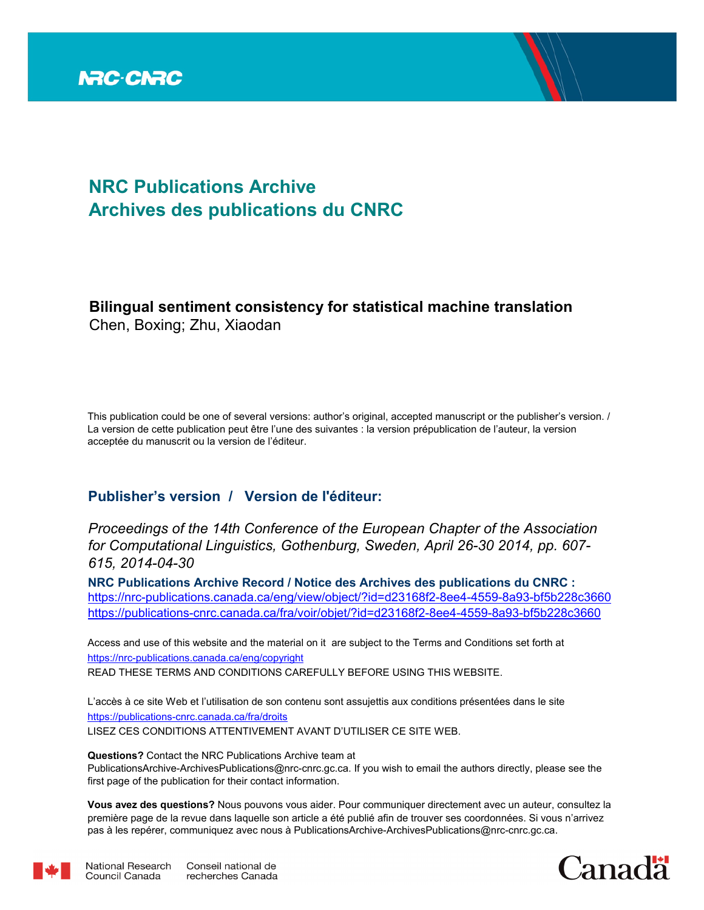

# **NRC Publications Archive Archives des publications du CNRC**

# **Bilingual sentiment consistency for statistical machine translation** Chen, Boxing; Zhu, Xiaodan

This publication could be one of several versions: author's original, accepted manuscript or the publisher's version. / La version de cette publication peut être l'une des suivantes : la version prépublication de l'auteur, la version acceptée du manuscrit ou la version de l'éditeur.

# **Publisher's version / Version de l'éditeur:**

*Proceedings of the 14th Conference of the European Chapter of the Association for Computational Linguistics, Gothenburg, Sweden, April 26-30 2014, pp. 607- 615, 2014-04-30*

**NRC Publications Archive Record / Notice des Archives des publications du CNRC :** https://nrc-publications.canada.ca/eng/view/object/?id=d23168f2-8ee4-4559-8a93-bf5b228c3660 https://publications-cnrc.canada.ca/fra/voir/objet/?id=d23168f2-8ee4-4559-8a93-bf5b228c3660

READ THESE TERMS AND CONDITIONS CAREFULLY BEFORE USING THIS WEBSITE. https://nrc-publications.canada.ca/eng/copyright Access and use of this website and the material on it are subject to the Terms and Conditions set forth at

https://publications-cnrc.canada.ca/fra/droits L'accès à ce site Web et l'utilisation de son contenu sont assujettis aux conditions présentées dans le site LISEZ CES CONDITIONS ATTENTIVEMENT AVANT D'UTILISER CE SITE WEB.

**Questions?** Contact the NRC Publications Archive team at

PublicationsArchive-ArchivesPublications@nrc-cnrc.gc.ca. If you wish to email the authors directly, please see the first page of the publication for their contact information.

**Vous avez des questions?** Nous pouvons vous aider. Pour communiquer directement avec un auteur, consultez la première page de la revue dans laquelle son article a été publié afin de trouver ses coordonnées. Si vous n'arrivez pas à les repérer, communiquez avec nous à PublicationsArchive-ArchivesPublications@nrc-cnrc.gc.ca.



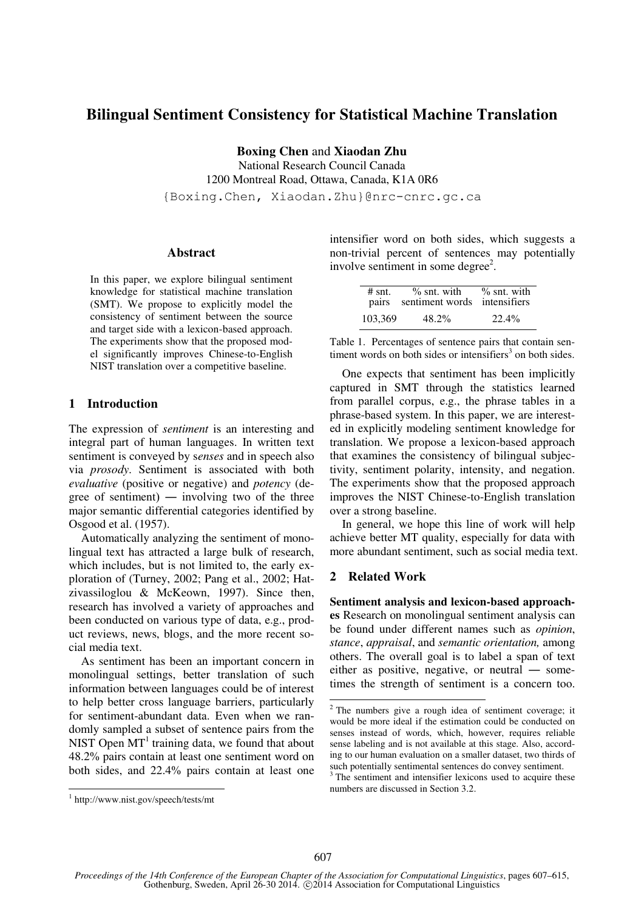# **Bilingual Sentiment Consistency for Statistical Machine Translation**

**Boxing Chen** and **Xiaodan Zhu** 

National Research Council Canada 1200 Montreal Road, Ottawa, Canada, K1A 0R6

{Boxing.Chen, Xiaodan.Zhu}@nrc-cnrc.gc.ca

## **Abstract**

In this paper, we explore bilingual sentiment knowledge for statistical machine translation (SMT). We propose to explicitly model the consistency of sentiment between the source and target side with a lexicon-based approach. The experiments show that the proposed model significantly improves Chinese-to-English NIST translation over a competitive baseline.

# **1 Introduction**

The expression of *sentiment* is an interesting and integral part of human languages. In written text sentiment is conveyed by s*enses* and in speech also via *prosody*. Sentiment is associated with both *evaluative* (positive or negative) and *potency* (degree of sentiment) ― involving two of the three major semantic differential categories identified by Osgood et al. (1957).

Automatically analyzing the sentiment of monolingual text has attracted a large bulk of research, which includes, but is not limited to, the early exploration of (Turney, 2002; Pang et al., 2002; Hatzivassiloglou & McKeown, 1997). Since then, research has involved a variety of approaches and been conducted on various type of data, e.g., product reviews, news, blogs, and the more recent social media text.

As sentiment has been an important concern in monolingual settings, better translation of such information between languages could be of interest to help better cross language barriers, particularly for sentiment-abundant data. Even when we randomly sampled a subset of sentence pairs from the NIST Open  $MT<sup>1</sup>$  training data, we found that about 48.2% pairs contain at least one sentiment word on both sides, and 22.4% pairs contain at least one

intensifier word on both sides, which suggests a non-trivial percent of sentences may potentially involve sentiment in some degree<sup>2</sup>.

| $#$ snt.<br>pairs | $\%$ snt. with<br>sentiment words intensifiers | $\%$ snt. with |
|-------------------|------------------------------------------------|----------------|
| 103,369           | $48.2\%$                                       | 22.4%          |

Table 1. Percentages of sentence pairs that contain sentiment words on both sides or intensifiers<sup>3</sup> on both sides.

One expects that sentiment has been implicitly captured in SMT through the statistics learned from parallel corpus, e.g., the phrase tables in a phrase-based system. In this paper, we are interested in explicitly modeling sentiment knowledge for translation. We propose a lexicon-based approach that examines the consistency of bilingual subjectivity, sentiment polarity, intensity, and negation. The experiments show that the proposed approach improves the NIST Chinese-to-English translation over a strong baseline.

In general, we hope this line of work will help achieve better MT quality, especially for data with more abundant sentiment, such as social media text.

# **2 Related Work**

**Sentiment analysis and lexicon-based approaches** Research on monolingual sentiment analysis can be found under different names such as *opinion*, *stance*, *appraisal*, and *semantic orientation,* among others. The overall goal is to label a span of text either as positive, negative, or neutral ― sometimes the strength of sentiment is a concern too.

j

 2 The numbers give a rough idea of sentiment coverage; it would be more ideal if the estimation could be conducted on senses instead of words, which, however, requires reliable sense labeling and is not available at this stage. Also, according to our human evaluation on a smaller dataset, two thirds of such potentially sentimental sentences do convey sentiment.

<sup>&</sup>lt;sup>3</sup> The sentiment and intensifier lexicons used to acquire these numbers are discussed in Section 3.2.

<sup>1</sup> http://www.nist.gov/speech/tests/mt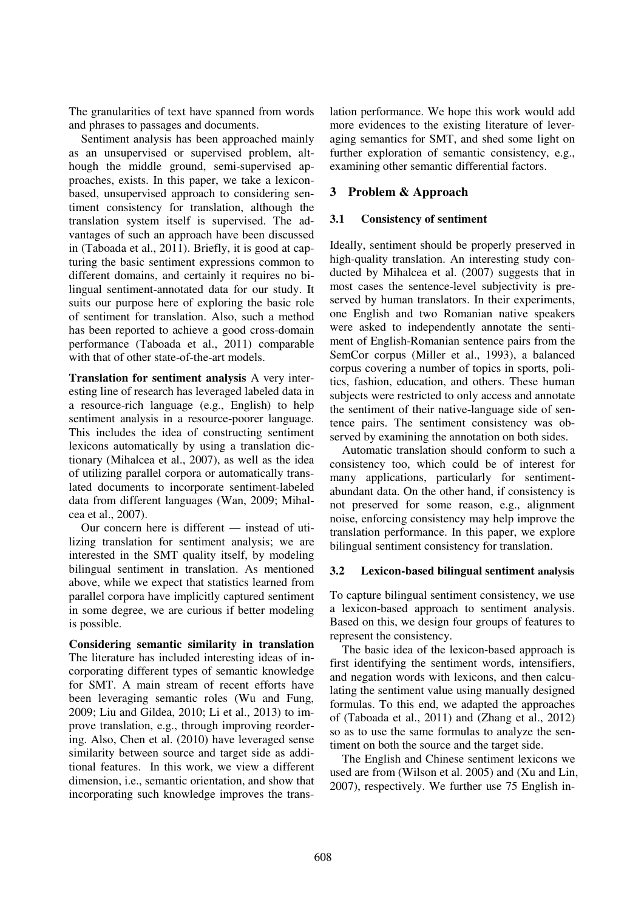The granularities of text have spanned from words and phrases to passages and documents.

Sentiment analysis has been approached mainly as an unsupervised or supervised problem, although the middle ground, semi-supervised approaches, exists. In this paper, we take a lexiconbased, unsupervised approach to considering sentiment consistency for translation, although the translation system itself is supervised. The advantages of such an approach have been discussed in (Taboada et al., 2011). Briefly, it is good at capturing the basic sentiment expressions common to different domains, and certainly it requires no bilingual sentiment-annotated data for our study. It suits our purpose here of exploring the basic role of sentiment for translation. Also, such a method has been reported to achieve a good cross-domain performance (Taboada et al., 2011) comparable with that of other state-of-the-art models.

**Translation for sentiment analysis** A very interesting line of research has leveraged labeled data in a resource-rich language (e.g., English) to help sentiment analysis in a resource-poorer language. This includes the idea of constructing sentiment lexicons automatically by using a translation dictionary (Mihalcea et al., 2007), as well as the idea of utilizing parallel corpora or automatically translated documents to incorporate sentiment-labeled data from different languages (Wan, 2009; Mihalcea et al., 2007).

Our concern here is different ― instead of utilizing translation for sentiment analysis; we are interested in the SMT quality itself, by modeling bilingual sentiment in translation. As mentioned above, while we expect that statistics learned from parallel corpora have implicitly captured sentiment in some degree, we are curious if better modeling is possible.

**Considering semantic similarity in translation**  The literature has included interesting ideas of incorporating different types of semantic knowledge for SMT. A main stream of recent efforts have been leveraging semantic roles (Wu and Fung, 2009; Liu and Gildea, 2010; Li et al., 2013) to improve translation, e.g., through improving reordering. Also, Chen et al. (2010) have leveraged sense similarity between source and target side as additional features. In this work, we view a different dimension, i.e., semantic orientation, and show that incorporating such knowledge improves the translation performance. We hope this work would add more evidences to the existing literature of leveraging semantics for SMT, and shed some light on further exploration of semantic consistency, e.g., examining other semantic differential factors.

# **3 Problem & Approach**

# **3.1 Consistency of sentiment**

Ideally, sentiment should be properly preserved in high-quality translation. An interesting study conducted by Mihalcea et al. (2007) suggests that in most cases the sentence-level subjectivity is preserved by human translators. In their experiments, one English and two Romanian native speakers were asked to independently annotate the sentiment of English-Romanian sentence pairs from the SemCor corpus (Miller et al., 1993), a balanced corpus covering a number of topics in sports, politics, fashion, education, and others. These human subjects were restricted to only access and annotate the sentiment of their native-language side of sentence pairs. The sentiment consistency was observed by examining the annotation on both sides.

Automatic translation should conform to such a consistency too, which could be of interest for many applications, particularly for sentimentabundant data. On the other hand, if consistency is not preserved for some reason, e.g., alignment noise, enforcing consistency may help improve the translation performance. In this paper, we explore bilingual sentiment consistency for translation.

# **3.2 Lexicon-based bilingual sentiment analysis**

To capture bilingual sentiment consistency, we use a lexicon-based approach to sentiment analysis. Based on this, we design four groups of features to represent the consistency.

The basic idea of the lexicon-based approach is first identifying the sentiment words, intensifiers, and negation words with lexicons, and then calculating the sentiment value using manually designed formulas. To this end, we adapted the approaches of (Taboada et al., 2011) and (Zhang et al., 2012) so as to use the same formulas to analyze the sentiment on both the source and the target side.

The English and Chinese sentiment lexicons we used are from (Wilson et al. 2005) and (Xu and Lin, 2007), respectively. We further use 75 English in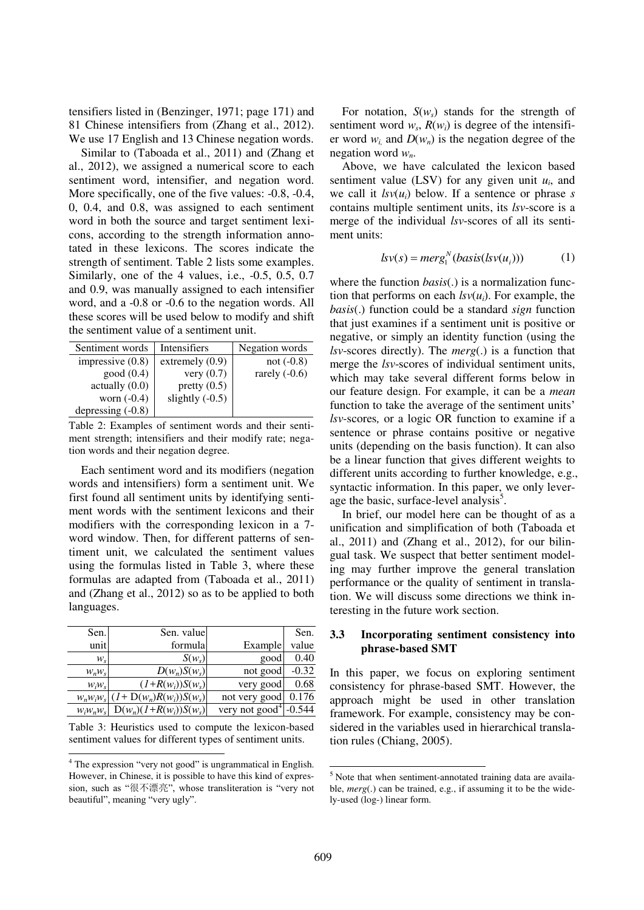tensifiers listed in (Benzinger, 1971; page 171) and 81 Chinese intensifiers from (Zhang et al., 2012). We use 17 English and 13 Chinese negation words.

Similar to (Taboada et al., 2011) and (Zhang et al., 2012), we assigned a numerical score to each sentiment word, intensifier, and negation word. More specifically, one of the five values:  $-0.8$ ,  $-0.4$ , 0, 0.4, and 0.8, was assigned to each sentiment word in both the source and target sentiment lexicons, according to the strength information annotated in these lexicons. The scores indicate the strength of sentiment. Table 2 lists some examples. Similarly, one of the 4 values, i.e., -0.5, 0.5, 0.7 and 0.9, was manually assigned to each intensifier word, and a -0.8 or -0.6 to the negation words. All these scores will be used below to modify and shift the sentiment value of a sentiment unit.

| Sentiment words     | Intensifiers      | Negation words  |
|---------------------|-------------------|-----------------|
| impressive $(0.8)$  | extremely $(0.9)$ | not $(-0.8)$    |
| good(0.4)           | very $(0.7)$      | rarely $(-0.6)$ |
| actually(0.0)       | pretty $(0.5)$    |                 |
| worn $(-0.4)$       | slightly $(-0.5)$ |                 |
| depressing $(-0.8)$ |                   |                 |

Table 2: Examples of sentiment words and their sentiment strength; intensifiers and their modify rate; negation words and their negation degree.

Each sentiment word and its modifiers (negation words and intensifiers) form a sentiment unit. We first found all sentiment units by identifying sentiment words with the sentiment lexicons and their modifiers with the corresponding lexicon in a 7 word window. Then, for different patterns of sentiment unit, we calculated the sentiment values using the formulas listed in Table 3, where these formulas are adapted from (Taboada et al., 2011) and (Zhang et al., 2012) so as to be applied to both languages.

| Sen.          | Sen. value                     |                            | Sen.     |
|---------------|--------------------------------|----------------------------|----------|
| unit          | formula                        | Example                    | value    |
| $W_{\rm S}$   | $S(w_s)$                       | good                       | 0.40     |
| $W_nW_s$      | $D(w_n)S(w_s)$                 | not good                   | $-0.32$  |
| $W_iW_s$      | $(I+R(w_i))S(w_s)$             | very good                  | 0.68     |
| $W_n W_i W_s$ | $(I+{\rm D}(w_n)R(w_i))S(w_s)$ | not very good              | 0.176    |
| $W_iW_nW_s$   | $D(w_n)(1+R(w_i))S(w_s)$       | very not good <sup>4</sup> | $-0.544$ |

Table 3: Heuristics used to compute the lexicon-based sentiment values for different types of sentiment units.

For notation,  $S(w_s)$  stands for the strength of sentiment word  $w_s$ ,  $R(w_i)$  is degree of the intensifier word  $w_i$  and  $D(w_n)$  is the negation degree of the negation word *wn*.

Above, we have calculated the lexicon based sentiment value (LSV) for any given unit  $u_i$ , and we call it  $\text{Isv}(u_i)$  below. If a sentence or phrase *s* contains multiple sentiment units, its *lsv*-score is a merge of the individual *lsv*-scores of all its sentiment units:

$$
lsv(s) = merg_1^N(basis(lsv(u_i)))
$$
 (1)

where the function *basis*(.) is a normalization function that performs on each  $\text{Isv}(u_i)$ . For example, the *basis*(.) function could be a standard *sign* function that just examines if a sentiment unit is positive or negative, or simply an identity function (using the *lsv*-scores directly). The *merg*(.) is a function that merge the *lsv*-scores of individual sentiment units, which may take several different forms below in our feature design. For example, it can be a *mean* function to take the average of the sentiment units' *lsv-*scores*,* or a logic OR function to examine if a sentence or phrase contains positive or negative units (depending on the basis function). It can also be a linear function that gives different weights to different units according to further knowledge, e.g., syntactic information. In this paper, we only leverage the basic, surface-level analysis<sup>5</sup>.

In brief, our model here can be thought of as a unification and simplification of both (Taboada et al., 2011) and (Zhang et al., 2012), for our bilingual task. We suspect that better sentiment modeling may further improve the general translation performance or the quality of sentiment in translation. We will discuss some directions we think interesting in the future work section.

## **3.3 Incorporating sentiment consistency into phrase-based SMT**

In this paper, we focus on exploring sentiment consistency for phrase-based SMT. However, the approach might be used in other translation framework. For example, consistency may be considered in the variables used in hierarchical translation rules (Chiang, 2005).

 4 The expression "very not good" is ungrammatical in English. However, in Chinese, it is possible to have this kind of expression, such as "很不漂亮", whose transliteration is "very not beautiful", meaning "very ugly".

<sup>&</sup>lt;sup>5</sup> Note that when sentiment-annotated training data are available, *merg*(.) can be trained, e.g., if assuming it to be the widely-used (log-) linear form.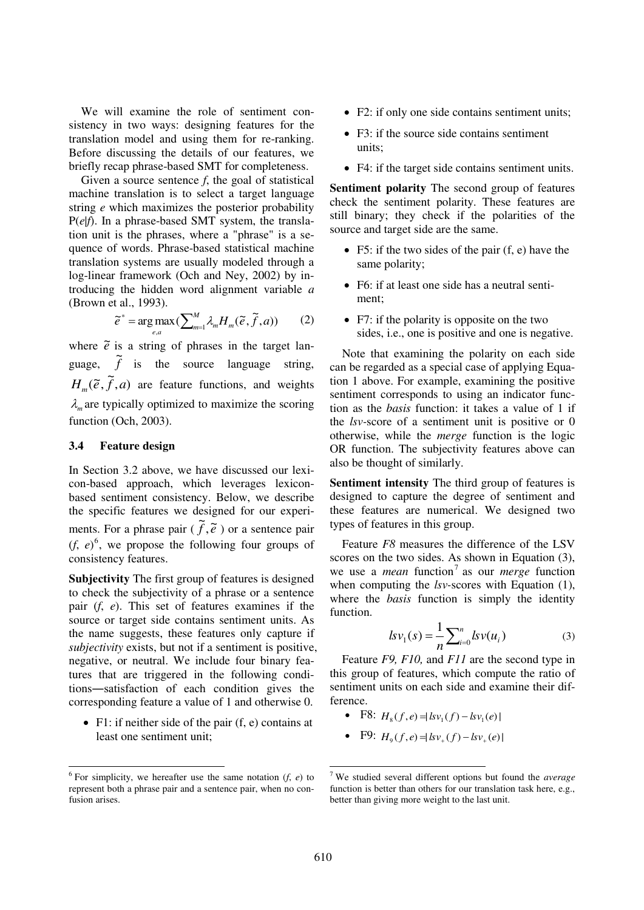We will examine the role of sentiment consistency in two ways: designing features for the translation model and using them for re-ranking. Before discussing the details of our features, we briefly recap phrase-based SMT for completeness.

Given a source sentence *f*, the goal of statistical machine translation is to select a target language string *e* which maximizes the posterior probability P(*e*|*f*). In a phrase-based SMT system, the translation unit is the phrases, where a "phrase" is a sequence of words. Phrase-based statistical machine translation systems are usually modeled through a log-linear framework (Och and Ney, 2002) by introducing the hidden word alignment variable *a* (Brown et al., 1993).

$$
\tilde{e}^* = \arg \max_{e,a} (\sum_{m=1}^M \lambda_m H_m(\tilde{e}, \tilde{f}, a))
$$
 (2)

where  $\tilde{e}$  is a string of phrases in the target language,  $\tilde{f}$  is the source language string,  $H_m(\tilde{e}, \tilde{f}, a)$  are feature functions, and weights  $\lambda_m$  are typically optimized to maximize the scoring function (Och, 2003).

#### **3.4 Feature design**

In Section 3.2 above, we have discussed our lexicon-based approach, which leverages lexiconbased sentiment consistency. Below, we describe the specific features we designed for our experiments. For a phrase pair  $(\tilde{f}, \tilde{e})$  or a sentence pair  $(f, e)^6$ , we propose the following four groups of consistency features.

**Subjectivity** The first group of features is designed to check the subjectivity of a phrase or a sentence pair (*f*, *e*). This set of features examines if the source or target side contains sentiment units. As the name suggests, these features only capture if *subjectivity* exists, but not if a sentiment is positive, negative, or neutral. We include four binary features that are triggered in the following conditions―satisfaction of each condition gives the corresponding feature a value of 1 and otherwise 0.

 $\bullet$  F1: if neither side of the pair (f, e) contains at least one sentiment unit;

- F2: if only one side contains sentiment units;
- F3: if the source side contains sentiment units;
- F4: if the target side contains sentiment units.

**Sentiment polarity** The second group of features check the sentiment polarity. These features are still binary; they check if the polarities of the source and target side are the same.

- F5: if the two sides of the pair  $(f, e)$  have the same polarity;
- F6: if at least one side has a neutral sentiment;
- F7: if the polarity is opposite on the two sides, i.e., one is positive and one is negative.

Note that examining the polarity on each side can be regarded as a special case of applying Equation 1 above. For example, examining the positive sentiment corresponds to using an indicator function as the *basis* function: it takes a value of 1 if the *lsv-*score of a sentiment unit is positive or 0 otherwise, while the *merge* function is the logic OR function. The subjectivity features above can also be thought of similarly.

**Sentiment intensity** The third group of features is designed to capture the degree of sentiment and these features are numerical. We designed two types of features in this group.

Feature *F8* measures the difference of the LSV scores on the two sides. As shown in Equation (3), we use a *mean* function<sup>7</sup> as our *merge* function when computing the *lsv-*scores with Equation (1), where the *basis* function is simply the identity function.

$$
l s v_1(s) = \frac{1}{n} \sum_{i=0}^{n} l s v(u_i)
$$
 (3)

Feature *F9, F10,* and *F11* are the second type in this group of features, which compute the ratio of sentiment units on each side and examine their difference.

- F8:  $H_8(f, e) = |sv_1(f) bv_1(e)|$
- F9:  $H_9(f,e) = |sv_+(f) bv_+(e)|$

-

 6 For simplicity, we hereafter use the same notation (*f*, *e*) to represent both a phrase pair and a sentence pair, when no confusion arises.

<sup>7</sup> We studied several different options but found the *average* function is better than others for our translation task here, e.g., better than giving more weight to the last unit.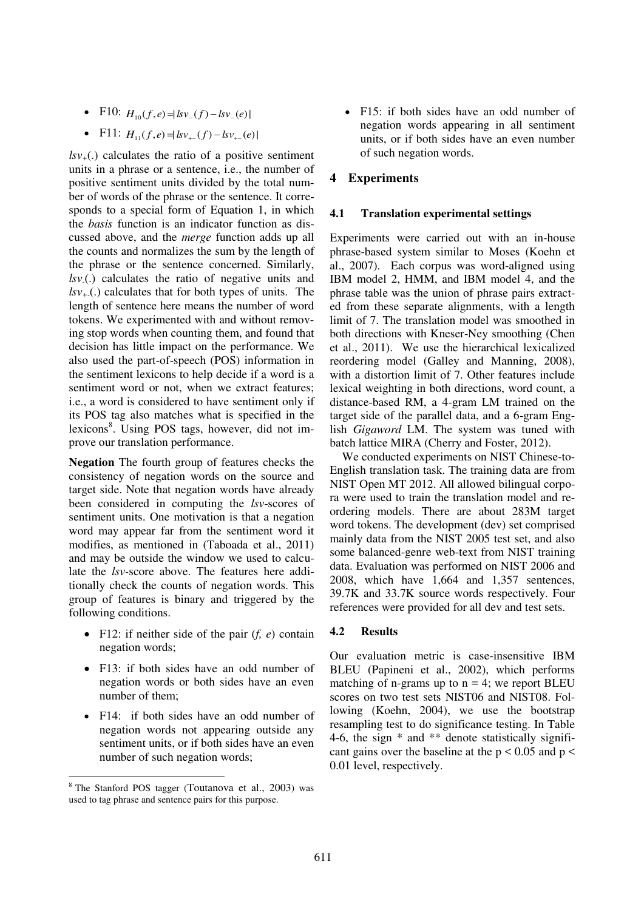- F10:  $H_{10}(f,e) = |kv_{-}(f) kv_{-}(e)|$
- F11:  $H_{1}(f,e) = |kv_{+}(f) bv_{+}(e)|$

 $lsv<sub>+</sub>(.)$  calculates the ratio of a positive sentiment units in a phrase or a sentence, i.e., the number of positive sentiment units divided by the total number of words of the phrase or the sentence. It corresponds to a special form of Equation 1, in which the *basis* function is an indicator function as discussed above, and the *merge* function adds up all the counts and normalizes the sum by the length of the phrase or the sentence concerned. Similarly, *lsv-*(.) calculates the ratio of negative units and  $lsv_{+}(.)$  calculates that for both types of units. The length of sentence here means the number of word tokens. We experimented with and without removing stop words when counting them, and found that decision has little impact on the performance. We also used the part-of-speech (POS) information in the sentiment lexicons to help decide if a word is a sentiment word or not, when we extract features; i.e., a word is considered to have sentiment only if its POS tag also matches what is specified in the lexicons<sup>8</sup>. Using POS tags, however, did not improve our translation performance.

**Negation** The fourth group of features checks the consistency of negation words on the source and target side. Note that negation words have already been considered in computing the *lsv*-scores of sentiment units. One motivation is that a negation word may appear far from the sentiment word it modifies, as mentioned in (Taboada et al., 2011) and may be outside the window we used to calculate the *lsv-*score above. The features here additionally check the counts of negation words. This group of features is binary and triggered by the following conditions.

- F12: if neither side of the pair (*f, e*) contain negation words;
- F13: if both sides have an odd number of negation words or both sides have an even number of them;
- F14: if both sides have an odd number of negation words not appearing outside any sentiment units, or if both sides have an even number of such negation words;

-

 F15: if both sides have an odd number of negation words appearing in all sentiment units, or if both sides have an even number of such negation words.

# **4 Experiments**

#### **4.1 Translation experimental settings**

Experiments were carried out with an in-house phrase-based system similar to Moses (Koehn et al., 2007). Each corpus was word-aligned using IBM model 2, HMM, and IBM model 4, and the phrase table was the union of phrase pairs extracted from these separate alignments, with a length limit of 7. The translation model was smoothed in both directions with Kneser-Ney smoothing (Chen et al., 2011). We use the hierarchical lexicalized reordering model (Galley and Manning, 2008), with a distortion limit of 7. Other features include lexical weighting in both directions, word count, a distance-based RM, a 4-gram LM trained on the target side of the parallel data, and a 6-gram English *Gigaword* LM. The system was tuned with batch lattice MIRA (Cherry and Foster, 2012).

We conducted experiments on NIST Chinese-to-English translation task. The training data are from NIST Open MT 2012. All allowed bilingual corpora were used to train the translation model and reordering models. There are about 283M target word tokens. The development (dev) set comprised mainly data from the NIST 2005 test set, and also some balanced-genre web-text from NIST training data. Evaluation was performed on NIST 2006 and 2008, which have 1,664 and 1,357 sentences, 39.7K and 33.7K source words respectively. Four references were provided for all dev and test sets.

#### **4.2 Results**

Our evaluation metric is case-insensitive IBM BLEU (Papineni et al., 2002), which performs matching of n-grams up to  $n = 4$ ; we report BLEU scores on two test sets NIST06 and NIST08. Following (Koehn, 2004), we use the bootstrap resampling test to do significance testing. In Table 4-6, the sign \* and \*\* denote statistically significant gains over the baseline at the  $p < 0.05$  and  $p <$ 0.01 level, respectively.

<sup>8</sup> The Stanford POS tagger (Toutanova et al., 2003) was used to tag phrase and sentence pairs for this purpose.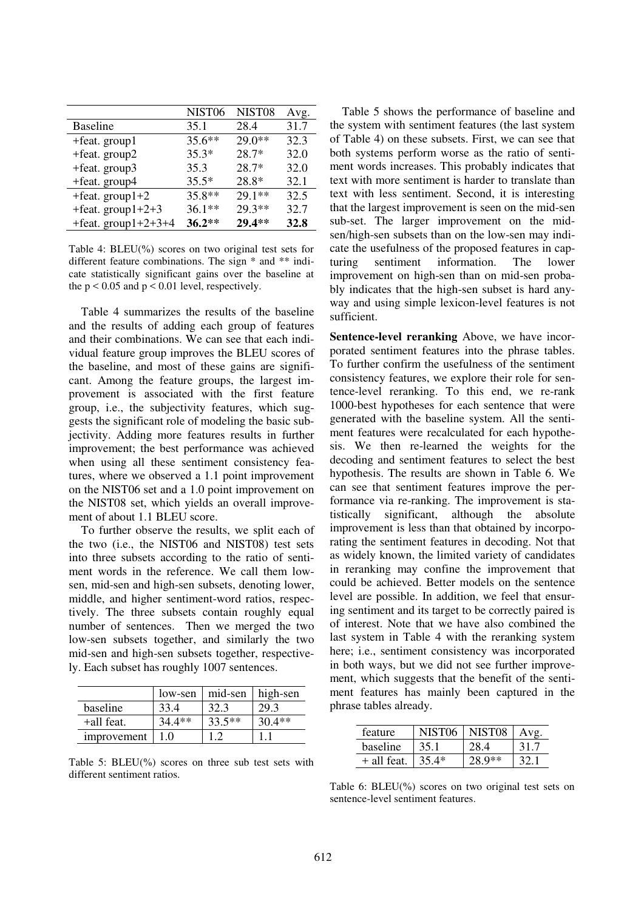|                        | NIST <sub>06</sub> | NIST <sub>08</sub> | Avg. |
|------------------------|--------------------|--------------------|------|
| <b>Baseline</b>        | 35.1               | 28.4               | 31.7 |
| $+$ feat. group1       | $35.6***$          | $29.0**$           | 32.3 |
| +feat. group2          | $35.3*$            | 28.7*              | 32.0 |
| $+$ feat. group $3$    | 35.3               | $28.7*$            | 32.0 |
| +feat. group4          | $35.5*$            | 28.8*              | 32.1 |
| $+$ feat. group $1+2$  | 35.8**             | $291$ **           | 32.5 |
| +feat. group $1+2+3$   | $36.1**$           | 29.3**             | 32.7 |
| +feat. group $1+2+3+4$ | $36.2**$           | 29.4**             | 32.8 |

Table 4: BLEU(%) scores on two original test sets for different feature combinations. The sign \* and \*\* indicate statistically significant gains over the baseline at the  $p < 0.05$  and  $p < 0.01$  level, respectively.

Table 4 summarizes the results of the baseline and the results of adding each group of features and their combinations. We can see that each individual feature group improves the BLEU scores of the baseline, and most of these gains are significant. Among the feature groups, the largest improvement is associated with the first feature group, i.e., the subjectivity features, which suggests the significant role of modeling the basic subjectivity. Adding more features results in further improvement; the best performance was achieved when using all these sentiment consistency features, where we observed a 1.1 point improvement on the NIST06 set and a 1.0 point improvement on the NIST08 set, which yields an overall improvement of about 1.1 BLEU score.

To further observe the results, we split each of the two (i.e., the NIST06 and NIST08) test sets into three subsets according to the ratio of sentiment words in the reference. We call them lowsen, mid-sen and high-sen subsets, denoting lower, middle, and higher sentiment-word ratios, respectively. The three subsets contain roughly equal number of sentences. Then we merged the two low-sen subsets together, and similarly the two mid-sen and high-sen subsets together, respectively. Each subset has roughly 1007 sentences.

|             | low-sen  | mid-sen  | high-sen |
|-------------|----------|----------|----------|
| baseline    | 33.4     | 32.3     | 29.3     |
| +all feat.  | $34.4**$ | $33.5**$ | $30.4**$ |
| improvement |          |          |          |

Table 5: BLEU(%) scores on three sub test sets with different sentiment ratios.

Table 5 shows the performance of baseline and the system with sentiment features (the last system of Table 4) on these subsets. First, we can see that both systems perform worse as the ratio of sentiment words increases. This probably indicates that text with more sentiment is harder to translate than text with less sentiment. Second, it is interesting that the largest improvement is seen on the mid-sen sub-set. The larger improvement on the midsen/high-sen subsets than on the low-sen may indicate the usefulness of the proposed features in capturing sentiment information. The lower improvement on high-sen than on mid-sen probably indicates that the high-sen subset is hard anyway and using simple lexicon-level features is not sufficient.

**Sentence-level reranking** Above, we have incorporated sentiment features into the phrase tables. To further confirm the usefulness of the sentiment consistency features, we explore their role for sentence-level reranking. To this end, we re-rank 1000-best hypotheses for each sentence that were generated with the baseline system. All the sentiment features were recalculated for each hypothesis. We then re-learned the weights for the decoding and sentiment features to select the best hypothesis. The results are shown in Table 6. We can see that sentiment features improve the performance via re-ranking. The improvement is statistically significant, although the absolute improvement is less than that obtained by incorporating the sentiment features in decoding. Not that as widely known, the limited variety of candidates in reranking may confine the improvement that could be achieved. Better models on the sentence level are possible. In addition, we feel that ensuring sentiment and its target to be correctly paired is of interest. Note that we have also combined the last system in Table 4 with the reranking system here; i.e., sentiment consistency was incorporated in both ways, but we did not see further improvement, which suggests that the benefit of the sentiment features has mainly been captured in the phrase tables already.

| feature       | NIST06 | NIST08 |  |
|---------------|--------|--------|--|
| baseline      |        |        |  |
| $+$ all feat. | ⁄l *   | $0**$  |  |

Table 6: BLEU(%) scores on two original test sets on sentence-level sentiment features.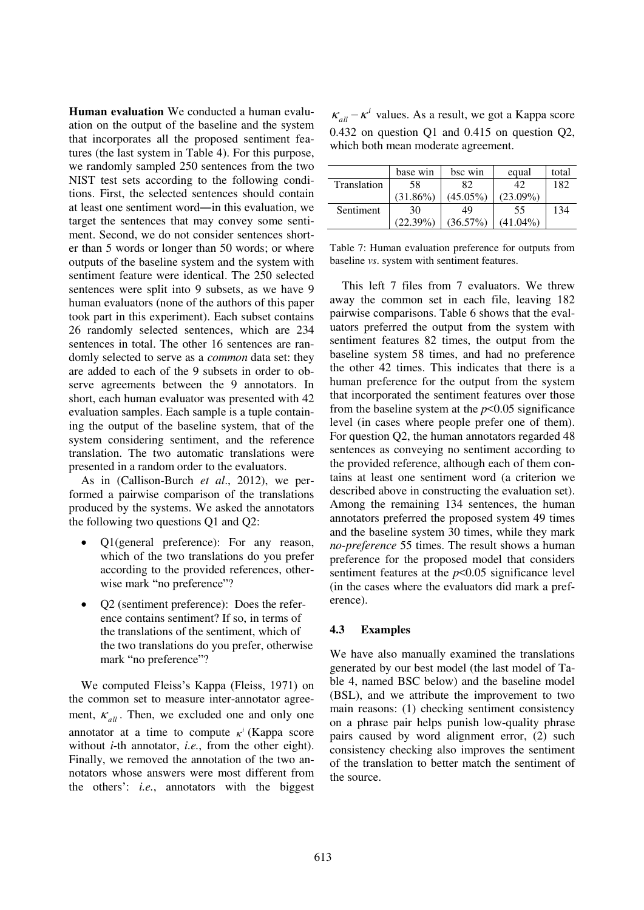**Human evaluation** We conducted a human evaluation on the output of the baseline and the system that incorporates all the proposed sentiment features (the last system in Table 4). For this purpose, we randomly sampled 250 sentences from the two NIST test sets according to the following conditions. First, the selected sentences should contain at least one sentiment word―in this evaluation, we target the sentences that may convey some sentiment. Second, we do not consider sentences shorter than 5 words or longer than 50 words; or where outputs of the baseline system and the system with sentiment feature were identical. The 250 selected sentences were split into 9 subsets, as we have 9 human evaluators (none of the authors of this paper took part in this experiment). Each subset contains 26 randomly selected sentences, which are 234 sentences in total. The other 16 sentences are randomly selected to serve as a *common* data set: they are added to each of the 9 subsets in order to observe agreements between the 9 annotators. In short, each human evaluator was presented with 42 evaluation samples. Each sample is a tuple containing the output of the baseline system, that of the system considering sentiment, and the reference translation. The two automatic translations were presented in a random order to the evaluators.

As in (Callison-Burch *et al*., 2012), we performed a pairwise comparison of the translations produced by the systems. We asked the annotators the following two questions Q1 and Q2:

- Ol(general preference): For any reason, which of the two translations do you prefer according to the provided references, otherwise mark "no preference"?
- Q2 (sentiment preference): Does the reference contains sentiment? If so, in terms of the translations of the sentiment, which of the two translations do you prefer, otherwise mark "no preference"?

We computed Fleiss's Kappa (Fleiss, 1971) on the common set to measure inter-annotator agreement,  $K_{all}$ . Then, we excluded one and only one annotator at a time to compute  $\kappa^i$  (Kappa score without *i*-th annotator, *i.e.*, from the other eight). Finally, we removed the annotation of the two annotators whose answers were most different from the others': *i.e.*, annotators with the biggest

 $\kappa_{all} - \kappa^i$  values. As a result, we got a Kappa score 0.432 on question Q1 and 0.415 on question Q2, which both mean moderate agreement.

|             | base win    | bsc win     | equal       | total |
|-------------|-------------|-------------|-------------|-------|
| Translation | 58          | 82          | 42          | 182   |
|             | $(31.86\%)$ | $(45.05\%)$ | $(23.09\%)$ |       |
| Sentiment   | 30          | 49          | 55          | 134   |
|             | $(22.39\%)$ | $(36.57\%)$ | $(41.04\%)$ |       |

Table 7: Human evaluation preference for outputs from baseline *vs*. system with sentiment features.

This left 7 files from 7 evaluators. We threw away the common set in each file, leaving 182 pairwise comparisons. Table 6 shows that the evaluators preferred the output from the system with sentiment features 82 times, the output from the baseline system 58 times, and had no preference the other 42 times. This indicates that there is a human preference for the output from the system that incorporated the sentiment features over those from the baseline system at the *p*<0.05 significance level (in cases where people prefer one of them). For question Q2, the human annotators regarded 48 sentences as conveying no sentiment according to the provided reference, although each of them contains at least one sentiment word (a criterion we described above in constructing the evaluation set). Among the remaining 134 sentences, the human annotators preferred the proposed system 49 times and the baseline system 30 times, while they mark *no-preference* 55 times. The result shows a human preference for the proposed model that considers sentiment features at the  $p<0.05$  significance level (in the cases where the evaluators did mark a preference).

#### **4.3 Examples**

We have also manually examined the translations generated by our best model (the last model of Table 4, named BSC below) and the baseline model (BSL), and we attribute the improvement to two main reasons: (1) checking sentiment consistency on a phrase pair helps punish low-quality phrase pairs caused by word alignment error, (2) such consistency checking also improves the sentiment of the translation to better match the sentiment of the source.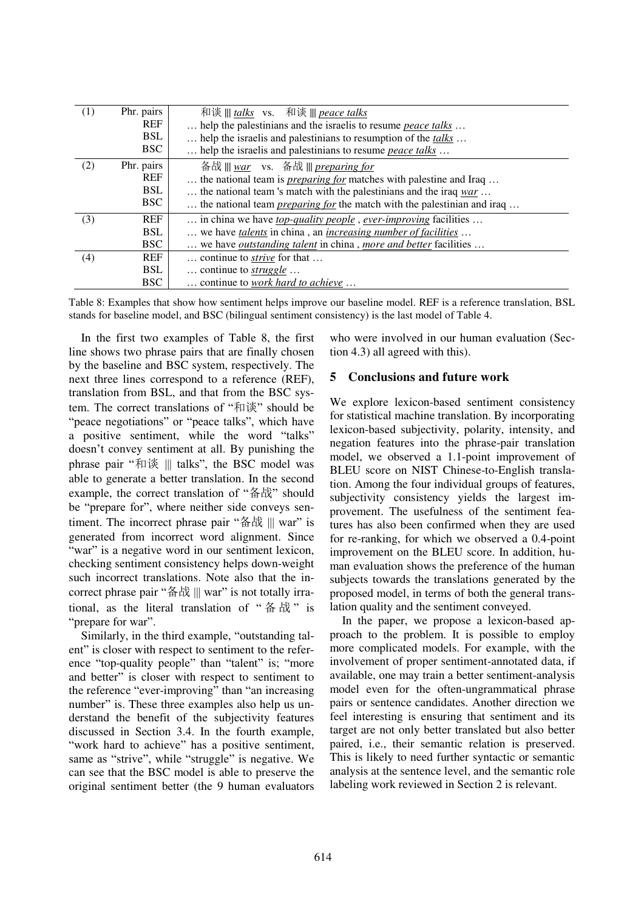| (1) | Phr. pairs<br><b>REF</b><br><b>BSL</b><br>BSC | 和谈     talks vs. 和谈     peace talks<br>help the palestinians and the israelis to resume <i>peace talks</i><br>help the israelis and palestinians to resumption of the talks<br>help the israelis and palestinians to resume <i>peace talks</i>                                   |
|-----|-----------------------------------------------|----------------------------------------------------------------------------------------------------------------------------------------------------------------------------------------------------------------------------------------------------------------------------------|
| (2) | Phr. pairs<br><b>REF</b><br>BSL<br>BSC        | 备战    war vs. 备战    preparing for<br>the national team is <i>preparing for</i> matches with palestine and Iraq<br>the national team 's match with the palestinians and the iraq $\frac{war}{}$<br>the national team <i>preparing for</i> the match with the palestinian and iraq |
| (3) | <b>REF</b><br><b>BSL</b><br><b>BSC</b>        | in china we have <u>top-quality people</u> , ever-improving facilities<br>we have <i>talents</i> in china, an <i>increasing number of facilities</i><br>we have <i>outstanding talent</i> in china, <i>more and better</i> facilities                                            |
| (4) | <b>REF</b><br><b>BSL</b><br><b>BSC</b>        | continue to <i>strive</i> for that<br>continue to $struggle$<br>continue to work hard to achieve                                                                                                                                                                                 |

Table 8: Examples that show how sentiment helps improve our baseline model. REF is a reference translation, BSL stands for baseline model, and BSC (bilingual sentiment consistency) is the last model of Table 4.

In the first two examples of Table 8, the first line shows two phrase pairs that are finally chosen by the baseline and BSC system, respectively. The next three lines correspond to a reference (REF), translation from BSL, and that from the BSC system. The correct translations of "和谈" should be "peace negotiations" or "peace talks", which have a positive sentiment, while the word "talks" doesn't convey sentiment at all. By punishing the phrase pair "和谈 ||| talks", the BSC model was able to generate a better translation. In the second example, the correct translation of "备战" should be "prepare for", where neither side conveys sentiment. The incorrect phrase pair "备战 ||| war" is generated from incorrect word alignment. Since "war" is a negative word in our sentiment lexicon, checking sentiment consistency helps down-weight such incorrect translations. Note also that the incorrect phrase pair "备战 ||| war" is not totally irrational, as the literal translation of " 备 战 " is "prepare for war".

Similarly, in the third example, "outstanding talent" is closer with respect to sentiment to the reference "top-quality people" than "talent" is; "more and better" is closer with respect to sentiment to the reference "ever-improving" than "an increasing number" is. These three examples also help us understand the benefit of the subjectivity features discussed in Section 3.4. In the fourth example, "work hard to achieve" has a positive sentiment, same as "strive", while "struggle" is negative. We can see that the BSC model is able to preserve the original sentiment better (the 9 human evaluators who were involved in our human evaluation (Section 4.3) all agreed with this).

## **5 Conclusions and future work**

We explore lexicon-based sentiment consistency for statistical machine translation. By incorporating lexicon-based subjectivity, polarity, intensity, and negation features into the phrase-pair translation model, we observed a 1.1-point improvement of BLEU score on NIST Chinese-to-English translation. Among the four individual groups of features, subjectivity consistency yields the largest improvement. The usefulness of the sentiment features has also been confirmed when they are used for re-ranking, for which we observed a 0.4-point improvement on the BLEU score. In addition, human evaluation shows the preference of the human subjects towards the translations generated by the proposed model, in terms of both the general translation quality and the sentiment conveyed.

In the paper, we propose a lexicon-based approach to the problem. It is possible to employ more complicated models. For example, with the involvement of proper sentiment-annotated data, if available, one may train a better sentiment-analysis model even for the often-ungrammatical phrase pairs or sentence candidates. Another direction we feel interesting is ensuring that sentiment and its target are not only better translated but also better paired, i.e., their semantic relation is preserved. This is likely to need further syntactic or semantic analysis at the sentence level, and the semantic role labeling work reviewed in Section 2 is relevant.